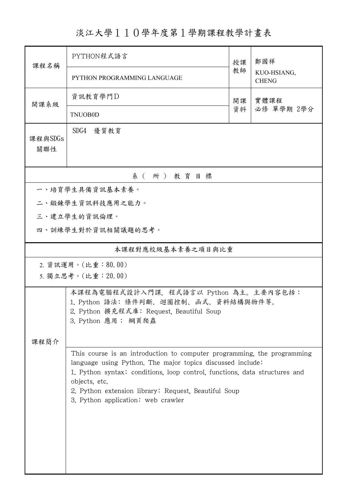## 淡江大學110學年度第1學期課程教學計畫表

| 課程名稱              | PYTHON程式語言                                                                                                                                                                                                                                                                                                                         |          | 鄭國祥                         |  |  |  |  |
|-------------------|------------------------------------------------------------------------------------------------------------------------------------------------------------------------------------------------------------------------------------------------------------------------------------------------------------------------------------|----------|-----------------------------|--|--|--|--|
|                   | PYTHON PROGRAMMING LANGUAGE                                                                                                                                                                                                                                                                                                        | 教師       | KUO-HSIANG,<br><b>CHENG</b> |  |  |  |  |
| 開課系級              | 資訊教育學門D                                                                                                                                                                                                                                                                                                                            | 開課<br>資料 | 實體課程<br>必修 單學期 2學分          |  |  |  |  |
|                   | <b>TNUOB0D</b>                                                                                                                                                                                                                                                                                                                     |          |                             |  |  |  |  |
| 課程與SDGs<br>關聯性    | SDG4 優質教育                                                                                                                                                                                                                                                                                                                          |          |                             |  |  |  |  |
| 系(所)教育目標          |                                                                                                                                                                                                                                                                                                                                    |          |                             |  |  |  |  |
| 一、培育學生具備資訊基本素養。   |                                                                                                                                                                                                                                                                                                                                    |          |                             |  |  |  |  |
|                   | 二、鍛鍊學生資訊科技應用之能力。                                                                                                                                                                                                                                                                                                                   |          |                             |  |  |  |  |
|                   | 三、建立學生的資訊倫理。                                                                                                                                                                                                                                                                                                                       |          |                             |  |  |  |  |
|                   | 四、訓練學生對於資訊相關議題的思考。                                                                                                                                                                                                                                                                                                                 |          |                             |  |  |  |  |
| 本課程對應校級基本素養之項目與比重 |                                                                                                                                                                                                                                                                                                                                    |          |                             |  |  |  |  |
|                   | 2. 資訊運用。(比重:80.00)                                                                                                                                                                                                                                                                                                                 |          |                             |  |  |  |  |
|                   | 5. 獨立思考。(比重: 20.00)                                                                                                                                                                                                                                                                                                                |          |                             |  |  |  |  |
| 課程簡介              | 本課程為電腦程式設計入門課,程式語言以 Python 為主。主要內容包括:<br>1. Python 語法: 條件判斷、迴圈控制、函式、資料結構與物件等。<br>2. Python 擴充程式庫: Request, Beautiful Soup<br>3. Python 應用: 網頁爬蟲                                                                                                                                                                                    |          |                             |  |  |  |  |
|                   | This course is an introduction to computer programming, the programming<br>language using Python. The major topics discussed include:<br>1. Python syntax: conditions, loop control, functions, data structures and<br>objects, etc.<br>2. Python extension library: Request, Beautiful Soup<br>3. Python application: web crawler |          |                             |  |  |  |  |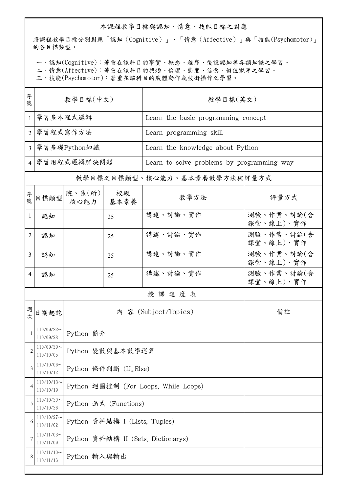## 本課程教學目標與認知、情意、技能目標之對應

將課程教學目標分別對應「認知(Cognitive)」、「情意(Affective)」與「技能(Psychomotor)」 的各目標類型。

一、認知(Cognitive):著重在該科目的事實、概念、程序、後設認知等各類知識之學習。

二、情意(Affective):著重在該科目的興趣、倫理、態度、信念、價值觀等之學習。

三、技能(Psychomotor):著重在該科目的肢體動作或技術操作之學習。

| 序<br>號         | 教學目標(中文)                                   |                                      |                      | 教學目標(英文)                                   |                         |  |  |
|----------------|--------------------------------------------|--------------------------------------|----------------------|--------------------------------------------|-------------------------|--|--|
| 1              | 學習基本程式邏輯                                   |                                      |                      | Learn the basic programming concept        |                         |  |  |
| $\overline{2}$ | 學習程式寫作方法                                   |                                      |                      | Learn programming skill                    |                         |  |  |
| 3              | 學習基礎Python知識                               |                                      |                      | Learn the knowledge about Python           |                         |  |  |
|                | 4 學習用程式邏輯解決問題                              |                                      |                      | Learn to solve problems by programming way |                         |  |  |
|                |                                            |                                      |                      | 教學目標之目標類型、核心能力、基本素養教學方法與評量方式               |                         |  |  |
| 序號             | 目標類型                                       | 院、系 $(\hbox{\tt m})$<br>核心能力         | 校級<br>基本素養           | 教學方法                                       | 評量方式                    |  |  |
| 1              | 認知                                         |                                      | 25                   | 講述、討論、實作                                   | 測驗、作業、討論(含<br>課堂、線上)、實作 |  |  |
| 2              | 認知                                         |                                      | 25                   | 講述、討論、實作                                   | 測驗、作業、討論(含<br>課堂、線上)、實作 |  |  |
| 3              | 認知                                         |                                      | 25                   | 講述、討論、實作                                   | 測驗、作業、討論(含<br>課堂、線上)、實作 |  |  |
| 4              | 認知                                         |                                      | 25                   | 講述、討論、實作                                   | 測驗、作業、討論(含<br>課堂、線上)、實作 |  |  |
|                | 授課進度表                                      |                                      |                      |                                            |                         |  |  |
| 週<br>坎         | 日期起訖                                       |                                      |                      | 內 容 (Subject/Topics)                       | 備註                      |  |  |
|                | $110/09/22\!\sim$<br>110/09/28             | Python 簡介                            |                      |                                            |                         |  |  |
| 2              | $110/09/29$ ~<br>110/10/05                 | Python 變數與基本數學運算                     |                      |                                            |                         |  |  |
| 3              | $110/10/06$ ~<br>110/10/12                 |                                      | Python 條件判斷 (IfElse) |                                            |                         |  |  |
| 4              | $110/10/13$ ~<br>110/10/19                 | Python 迴圈控制 (For Loops, While Loops) |                      |                                            |                         |  |  |
| 5              | $110/10/20$ ~<br>110/10/26                 | Python 函式 (Functions)                |                      |                                            |                         |  |  |
| 6              | $110/10/27$ ~<br>110/11/02                 | Python 資料結構 I (Lists, Tuples)        |                      |                                            |                         |  |  |
|                | $110/11/03$ ~<br>110/11/09                 | Python 資料結構 II (Sets, Dictionarys)   |                      |                                            |                         |  |  |
| 8              | $110/11/10$ ~<br>Python 輸入與輸出<br>110/11/16 |                                      |                      |                                            |                         |  |  |